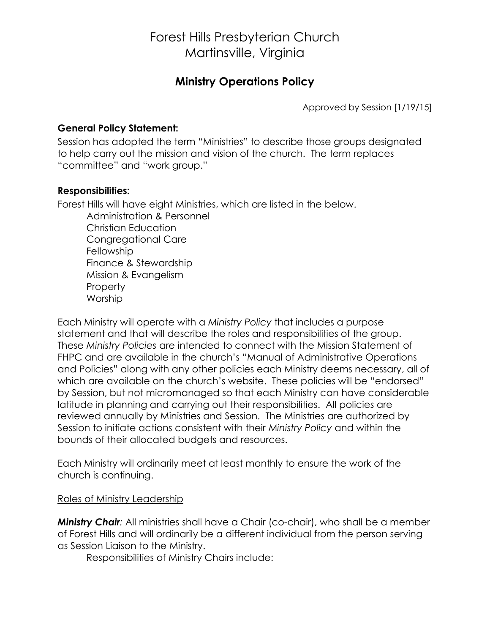## Forest Hills Presbyterian Church Martinsville, Virginia

### **Ministry Operations Policy**

Approved by Session [1/19/15]

#### **General Policy Statement:**

Session has adopted the term "Ministries" to describe those groups designated to help carry out the mission and vision of the church. The term replaces "committee" and "work group."

#### **Responsibilities:**

Forest Hills will have eight Ministries, which are listed in the below.

Administration & Personnel Christian Education Congregational Care **Fellowship** Finance & Stewardship Mission & Evangelism **Property** Worship

Each Ministry will operate with a *Ministry Policy* that includes a purpose statement and that will describe the roles and responsibilities of the group. These *Ministry Policies* are intended to connect with the Mission Statement of FHPC and are available in the church's "Manual of Administrative Operations and Policies" along with any other policies each Ministry deems necessary, all of which are available on the church's website. These policies will be "endorsed" by Session, but not micromanaged so that each Ministry can have considerable latitude in planning and carrying out their responsibilities. All policies are reviewed annually by Ministries and Session. The Ministries are authorized by Session to initiate actions consistent with their *Ministry Policy* and within the bounds of their allocated budgets and resources.

Each Ministry will ordinarily meet at least monthly to ensure the work of the church is continuing.

#### Roles of Ministry Leadership

*Ministry Chair:* All ministries shall have a Chair (co-chair), who shall be a member of Forest Hills and will ordinarily be a different individual from the person serving as Session Liaison to the Ministry.

Responsibilities of Ministry Chairs include: